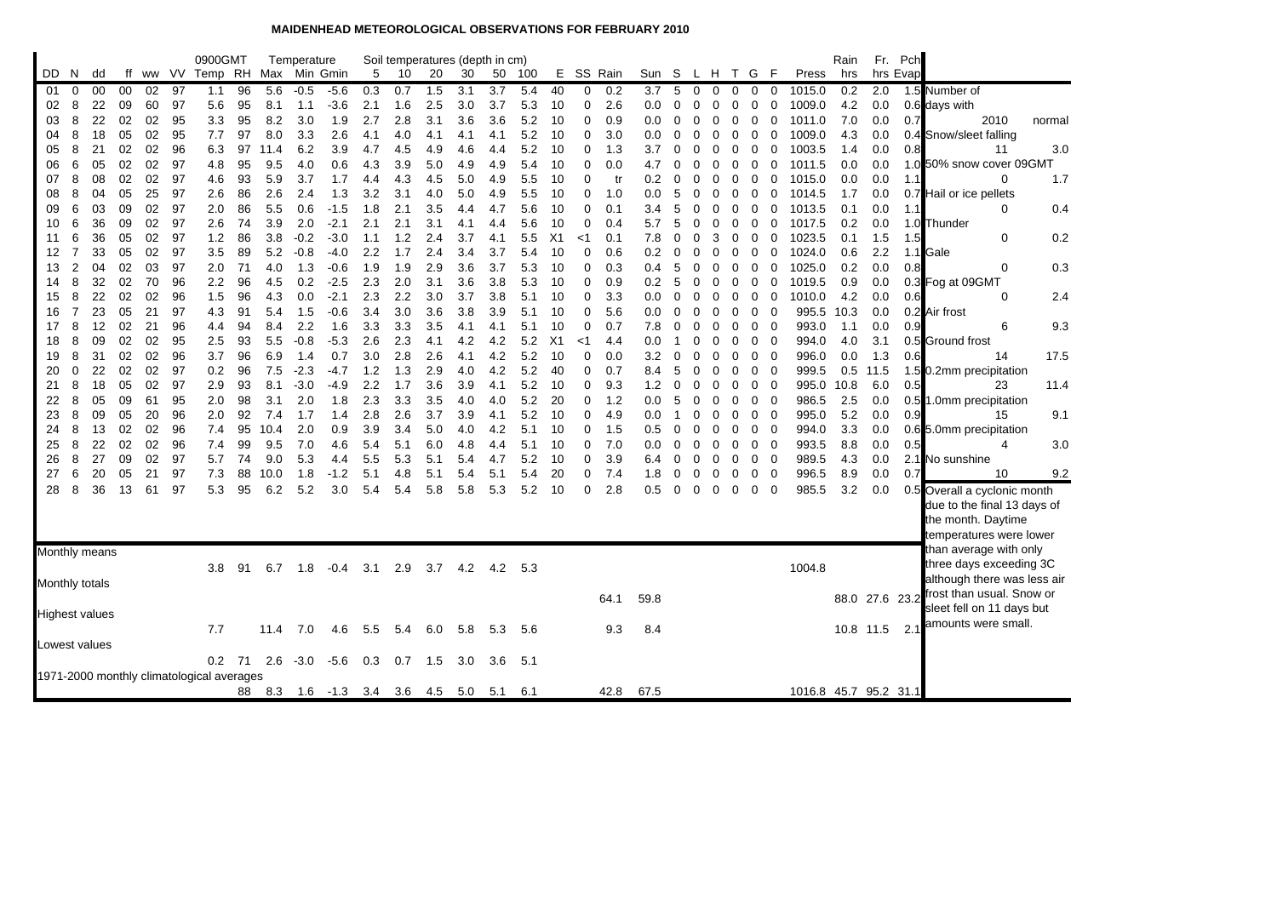## **MAIDENHEAD METEOROLOGICAL OBSERVATIONS FOR FEBRUARY 2010**

|          |                |                       |          |          |          | 0900GMT                                   |          |            | Temperature   |                      |            |            | Soil temperatures (depth in cm) |            |            |            |          |            |            |                |          |               |               |          |                         |                       | Rain           |            | Fr. Pch  |                              |        |
|----------|----------------|-----------------------|----------|----------|----------|-------------------------------------------|----------|------------|---------------|----------------------|------------|------------|---------------------------------|------------|------------|------------|----------|------------|------------|----------------|----------|---------------|---------------|----------|-------------------------|-----------------------|----------------|------------|----------|------------------------------|--------|
| DD.      | N.             | dd                    | ff       |          |          | ww VV Temp RH Max Min Gmin                |          |            |               |                      | 5          | 10         | 20                              | 30         | 50         | 100        |          |            | E SS Rain  | Sun S          |          | L H T G       |               |          | - F                     | Press                 | hrs            |            | hrs Evap |                              |        |
| 01       | 0              | 00                    | 00       | 02       | 97       | 1.1                                       | 96       | 5.6        | $-0.5$        | $-5.6$               | 0.3        | 0.7        | 1.5                             | 3.1        | 3.7        | 5.4        | 40       | 0          | 0.2        | 3.7            | 5        | 0             | $\Omega$      | 0        | $\mathbf 0$<br>0        | 1015.0                | 0.2            | 2.0        |          | 1.5 Number of                |        |
| 02       | 8              | 22                    | 09       | 60       | 97       | 5.6                                       | 95       | 8.1        | 1.1           | $-3.6$               | 2.1        | 1.6        | 2.5                             | 3.0        | 3.7        | 5.3        | 10       | 0          | 2.6        | 0.0            | 0        | 0             | 0             | 0        | 0<br>0                  | 1009.0                | 4.2            | 0.0        |          | 0.6 days with                |        |
| 03       | 8              | 22                    | 02       | 02       | 95       | 3.3                                       | 95       | 8.2        | 3.0           | 1.9                  | 2.7        | 2.8        | 3.1                             | 3.6        | 3.6        | 5.2        | 10       | 0          | 0.9        | 0.0            | 0        | 0             | 0             | 0        | 0<br>0                  | 1011.0                | 7.0            | 0.0        | 0.7      | 2010                         | normal |
| 04       | 8              | 18                    | 05       | 02       | 95       | 7.7                                       | 97       | 8.0        | 3.3           | 2.6                  | 4.1        | 4.0        | 4.1                             | 4.1        | 4.1        | 5.2        | 10       | 0          | 3.0        | 0.0            | 0        | 0             | $\Omega$      | 0        | 0<br>0                  | 1009.0                | 4.3            | 0.0        |          | 0.4 Snow/sleet falling       |        |
| 05       | 8              | 21                    | 02       | 02       | 96       | 6.3                                       | 97       | 11.4       | 6.2           | 3.9                  | 4.7        | 4.5        | 4.9                             | 4.6        | 4.4        | 5.2        | 10       | 0          | 1.3        | 3.7            | 0        | $\Omega$      | $\Omega$      | 0        | 0<br>0                  | 1003.5                | 1.4            | 0.0        | 0.8      | 11                           | 3.0    |
| 06       | 6              | 05                    | 02       | 02       | 97       | 4.8                                       | 95       | 9.5        | 4.0           | 0.6                  | 4.3        | 3.9        | 5.0                             | 4.9        | 4.9        | 5.4        | 10       | 0          | 0.0        | 4.7            | 0        | 0             | 0             | 0        | 0<br>0                  | 1011.5                | 0.0            | 0.0        |          | 1.0 50% snow cover 09GMT     |        |
| 07       | 8              | 08                    | 02       | 02       | 97       | 4.6                                       | 93       | 5.9        | 3.7           | 1.7                  | 4.4        | 4.3        | 4.5                             | 5.0        | 4.9        | 5.5        | 10       | 0          | tr         | 0.2            | 0        | $\Omega$      | $\Omega$      | 0        | 0<br>0                  | 1015.0                | 0.0            | 0.0        | 1.1      | $\Omega$                     | 1.7    |
| 08       | 8              | 04                    | 05       | 25       | 97       | 2.6                                       | 86       | 2.6        | 2.4           | 1.3                  | 3.2        | 3.1        | 4.0                             | 5.0        | 4.9        | 5.5        | 10       | 0          | 1.0        | 0.0            | 5        | 0             | $\Omega$      | 0        | 0<br>0                  | 1014.5                | 1.7            | 0.0        |          | 0.7 Hail or ice pellets      |        |
| 09       | 6              | 03                    | 09       | 02       | 97       | 2.0                                       | 86       | 5.5        | 0.6           | $-1.5$               | 1.8        | 2.1        | 3.5                             | 4.4        | 4.7        | 5.6        | 10       | 0          | 0.1        | 3.4            | 5        | 0             | 0             | 0        | 0<br>0                  | 1013.5                | 0.1            | 0.0        | 1.1      | $\Omega$                     | 0.4    |
| 10       | 6              | 36                    | 09       | 02       | 97       | 2.6                                       | 74       | 3.9        | 2.0<br>$-0.2$ | $-2.1$               | 2.1        | 2.1<br>1.2 | 3.1<br>2.4                      | 4.1<br>3.7 | 4.4        | 5.6        | 10       | 0          | 0.4        | 5.7            | 5        | 0             | $\Omega$      | 0        | 0<br>0                  | 1017.5                | 0.2            | 0.0        |          | 1.0 Thunder                  | 0.2    |
| 11       | 6<br>7         | 36<br>33              | 05<br>05 | 02<br>02 | 97<br>97 | 1.2                                       | 86       | 3.8<br>5.2 |               | $-3.0$<br>$-4.0$     | 1.1        |            | 2.4                             | 3.4        | 4.1<br>3.7 | 5.5        | X1<br>10 | $<$ 1<br>0 | 0.1<br>0.6 | 7.8            | 0        | 0             | 3<br>$\Omega$ | 0        | 0<br>0                  | 1023.5<br>1024.0      | 0.1            | 1.5<br>2.2 | 1.5      | 0<br>1.1 Gale                |        |
| 12<br>13 | 2              | 04                    | 02       | 03       | 97       | 3.5<br>2.0                                | 89<br>71 | 4.0        | $-0.8$<br>1.3 | $-0.6$               | 2.2<br>1.9 | 1.7<br>1.9 | 2.9                             | 3.6        | 3.7        | 5.4<br>5.3 | 10       | 0          | 0.3        | $0.2\,$<br>0.4 | 0<br>5   | $\Omega$<br>0 | 0             | 0<br>0   | 0<br>0<br>0<br>0        | 1025.0                | 0.6<br>0.2     | 0.0        | 0.8      | 0                            | 0.3    |
| 14       | 8              | 32                    | 02       | 70       | 96       | 2.2                                       | 96       | 4.5        | 0.2           | $-2.5$               | 2.3        | 2.0        | 3.1                             | 3.6        | 3.8        | 5.3        | 10       | 0          | 0.9        | 0.2            | 5        | 0             | $\Omega$      | 0        | 0<br>0                  | 1019.5                | 0.9            | 0.0        |          | 0.3 Fog at 09GMT             |        |
| 15       | 8              | 22                    | 02       | 02       | 96       | 1.5                                       | 96       | 4.3        | 0.0           | $-2.1$               | 2.3        | 2.2        | 3.0                             | 3.7        | 3.8        | 5.1        | 10       | 0          | 3.3        | 0.0            | 0        | 0             | 0             | 0        | 0<br>$\mathbf 0$        | 1010.0                | 4.2            | 0.0        | 0.6      | $\Omega$                     | 2.4    |
| 16       | $\overline{7}$ | 23                    | 05       | 21       | 97       | 4.3                                       | 91       | 5.4        | 1.5           | $-0.6$               | 3.4        | 3.0        | 3.6                             | 3.8        | 3.9        | 5.1        | 10       | 0          | 5.6        | 0.0            | 0        | 0             | 0             | 0        | 0<br>0                  | 995.5                 | 10.3           | 0.0        | 0.2      | Air frost                    |        |
| 17       | 8              | 12                    | 02       | 21       | 96       | 4.4                                       | 94       | 8.4        | 2.2           | 1.6                  | 3.3        | 3.3        | 3.5                             | 4.1        | 4.1        | 5.1        | 10       | 0          | 0.7        | 7.8            | 0        | 0             | 0             | 0        | 0<br>0                  | 993.0                 | 1.1            | 0.0        | 0.9      | 6                            | 9.3    |
| 18       | 8              | 09                    | 02       | 02       | 95       | 2.5                                       | 93       | 5.5        | $-0.8$        | $-5.3$               | 2.6        | 2.3        | 4.1                             | 4.2        | 4.2        | 5.2        | X1       | <1         | 4.4        | 0.0            |          | 0             | 0             | 0        | 0<br>-0                 | 994.0                 | 4.0            | 3.1        |          | 0.5 Ground frost             |        |
| 19       | 8              | 31                    | 02       | 02       | 96       | 3.7                                       | 96       | 6.9        | 1.4           | 0.7                  | 3.0        | 2.8        | 2.6                             | 4.1        | 4.2        | 5.2        | 10       | 0          | 0.0        | 3.2            | 0        | 0             | $\Omega$      | 0        | 0<br>0                  | 996.0                 | 0.0            | 1.3        | 0.6      | 14                           | 17.5   |
| 20       | 0              | 22                    | 02       | 02       | 97       | 0.2                                       | 96       | 7.5        | $-2.3$        | $-4.7$               | 1.2        | 1.3        | 2.9                             | 4.0        | 4.2        | 5.2        | 40       | 0          | 0.7        | 8.4            | 5        | 0             | 0             | 0        | 0<br>0                  | 999.5                 |                | $0.5$ 11.5 |          | 1.5 0.2mm precipitation      |        |
| 21       | 8              | 18                    | 05       | 02       | 97       | 2.9                                       | 93       | 8.1        | $-3.0$        | $-4.9$               | 2.2        | 1.7        | 3.6                             | 3.9        | 4.1        | 5.2        | 10       | 0          | 9.3        | 1.2            | 0        | 0             | 0             | 0        | 0<br>$\mathbf 0$        | 995.0                 | 10.8           | 6.0        | 0.5      | 23                           | 11.4   |
| 22       | 8              | 05                    | 09       | 61       | 95       | 2.0                                       | 98       | 3.1        | 2.0           | 1.8                  | 2.3        | 3.3        | 3.5                             | 4.0        | 4.0        | 5.2        | 20       | 0          | 1.2        | 0.0            | 5        | 0             | 0             | 0        | $\mathbf 0$<br>0        | 986.5                 | 2.5            | 0.0        |          | 0.5 1.0mm precipitation      |        |
| 23       | 8              | 09                    | 05       | 20       | 96       | 2.0                                       | 92       | 7.4        | 1.7           | 1.4                  | 2.8        | 2.6        | 3.7                             | 3.9        | 4.1        | 5.2        | 10       | 0          | 4.9        | 0.0            | -1       | 0             | 0             | 0        | 0<br>0                  | 995.0                 | 5.2            | 0.0        | 0.9      | 15                           | 9.1    |
| 24       | 8              | 13                    | 02       | 02       | 96       | 7.4                                       | 95       | 10.4       | 2.0           | 0.9                  | 3.9        | 3.4        | 5.0                             | 4.0        | 4.2        | 5.1        | 10       | 0          | 1.5        | 0.5            | 0        | 0             | $\mathbf 0$   | 0        | 0<br>0                  | 994.0                 | 3.3            | 0.0        |          | 0.6 5.0mm precipitation      |        |
| 25       | 8              | 22                    | 02       | 02       | 96       | 7.4                                       | 99       | 9.5        | 7.0           | 4.6                  | 5.4        | 5.1        | 6.0                             | 4.8        | 4.4        | 5.1        | 10       | 0          | 7.0        | 0.0            | 0        | 0             | 0             | 0        | 0<br>0                  | 993.5                 | 8.8            | 0.0        | 0.5      | 4                            | 3.0    |
| 26       | 8              | 27                    | 09       | 02       | 97       | 5.7                                       | 74       | 9.0        | 5.3           | 4.4                  | 5.5        | 5.3        | 5.1                             | 5.4        | 4.7        | 5.2        | 10       | 0          | 3.9        | 6.4            | 0        | 0             | 0             | 0        | 0<br>0                  | 989.5                 | 4.3            | 0.0        |          | 2.1 No sunshine              |        |
| 27       | 6              | 20                    | 05       | 21       | 97       | 7.3                                       | 88       | 10.0       | 1.8           | $-1.2$               | 5.1        | 4.8        | 5.1                             | 5.4        | 5.1        | 5.4        | 20       | 0          | 7.4        | 1.8            | 0        | 0             | $\Omega$      | 0        | 0<br>0                  | 996.5                 | 8.9            | 0.0        | 0.7      | 10                           | 9.2    |
| 28       | 8              | 36                    | 13       | 61       | 97       | 5.3                                       | 95       | 6.2        | 5.2           | 3.0                  | 5.4        | 5.4        | 5.8                             | 5.8        | 5.3        | 5.2        | 10       | 0          | 2.8        | 0.5            | $\Omega$ | $\Omega$      | $\Omega$      | $\Omega$ | $\mathbf 0$<br>$\Omega$ | 985.5                 | 3.2            | 0.0        |          | 0.5 Overall a cyclonic month |        |
|          |                |                       |          |          |          |                                           |          |            |               |                      |            |            |                                 |            |            |            |          |            |            |                |          |               |               |          |                         |                       |                |            |          | due to the final 13 days of  |        |
|          |                |                       |          |          |          |                                           |          |            |               |                      |            |            |                                 |            |            |            |          |            |            |                |          |               |               |          |                         |                       |                |            |          | the month. Daytime           |        |
|          |                |                       |          |          |          |                                           |          |            |               |                      |            |            |                                 |            |            |            |          |            |            |                |          |               |               |          |                         |                       |                |            |          | temperatures were lower      |        |
|          |                | Monthly means         |          |          |          |                                           |          |            |               |                      |            |            |                                 |            |            |            |          |            |            |                |          |               |               |          |                         |                       |                |            |          | than average with only       |        |
|          |                |                       |          |          |          | 3.8                                       | 91       | 6.7        | 1.8           | $-0.4$               | 3.1        | 2.9        | 3.7                             | 4.2        | 4.2        | 5.3        |          |            |            |                |          |               |               |          |                         | 1004.8                |                |            |          | three days exceeding 3C      |        |
|          |                | Monthly totals        |          |          |          |                                           |          |            |               |                      |            |            |                                 |            |            |            |          |            |            |                |          |               |               |          |                         |                       |                |            |          | although there was less air  |        |
|          |                |                       |          |          |          |                                           |          |            |               |                      |            |            |                                 |            |            |            |          |            | 64.1       | 59.8           |          |               |               |          |                         |                       | 88.0 27.6 23.2 |            |          | frost than usual. Snow or    |        |
|          |                | <b>Highest values</b> |          |          |          |                                           |          |            |               |                      |            |            |                                 |            |            |            |          |            |            |                |          |               |               |          |                         |                       |                |            |          | sleet fell on 11 days but    |        |
|          |                |                       |          |          |          | 7.7                                       |          | 11.4       | 7.0           | 4.6                  | 5.5        | 5.4        | 6.0                             | 5.8        | 5.3        | 5.6        |          |            | 9.3        | 8.4            |          |               |               |          |                         |                       | 10.8           | 11.5       | 2.1      | amounts were small.          |        |
|          |                | Lowest values         |          |          |          |                                           |          |            |               |                      |            |            |                                 |            |            |            |          |            |            |                |          |               |               |          |                         |                       |                |            |          |                              |        |
|          |                |                       |          |          |          | 0.2                                       | 71       | 2.6        | $-3.0$        | $-5.6$               | 0.3        | 0.7        | 1.5                             | 3.0        | 3.6        | 5.1        |          |            |            |                |          |               |               |          |                         |                       |                |            |          |                              |        |
|          |                |                       |          |          |          | 1971-2000 monthly climatological averages |          |            |               |                      |            |            |                                 |            |            |            |          |            |            |                |          |               |               |          |                         |                       |                |            |          |                              |        |
|          |                |                       |          |          |          |                                           | 88       | 8.3        |               | 1.6 -1.3 3.4 3.6 4.5 |            |            |                                 | 5.0        | 5.1        | 6.1        |          |            | 42.8       | 67.5           |          |               |               |          |                         | 1016.8 45.7 95.2 31.1 |                |            |          |                              |        |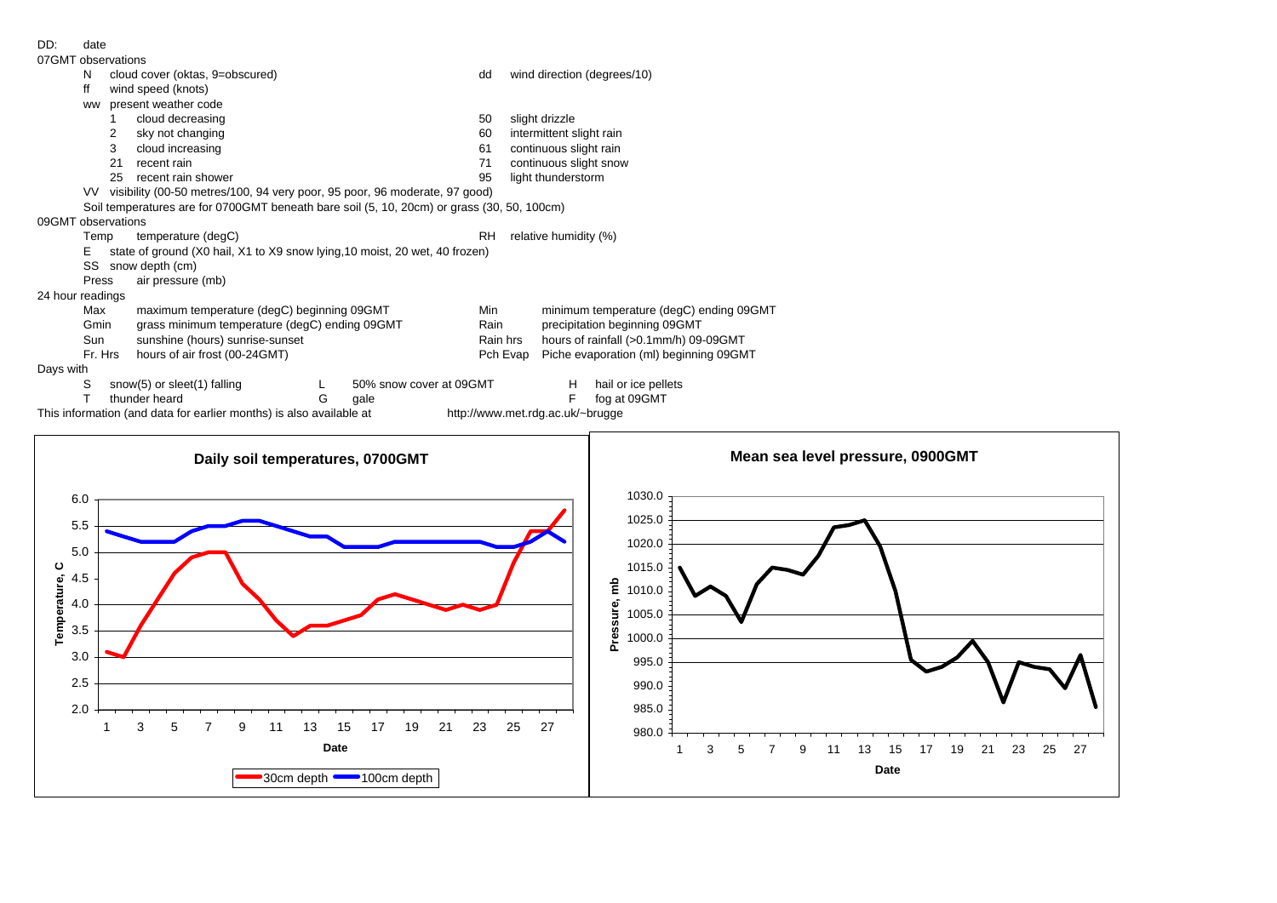DD: date

| 07GMT observations                                                                                      |                      |
|---------------------------------------------------------------------------------------------------------|----------------------|
| cloud cover (oktas, 9=obscured)<br>wind direction (degrees/10)<br>N<br>dd                               |                      |
| wind speed (knots)<br>ff                                                                                |                      |
| ww present weather code                                                                                 |                      |
| cloud decreasing<br>slight drizzle<br>$\mathbf{1}$<br>50                                                |                      |
| sky not changing<br>intermittent slight rain<br>$\overline{2}$<br>60                                    |                      |
| cloud increasing<br>continuous slight rain<br>3<br>61                                                   |                      |
| 21<br>continuous slight snow<br>recent rain<br>71                                                       |                      |
| 25 recent rain shower<br>95<br>light thunderstorm                                                       |                      |
| VV visibility (00-50 metres/100, 94 very poor, 95 poor, 96 moderate, 97 good)                           |                      |
| Soil temperatures are for 0700GMT beneath bare soil (5, 10, 20cm) or grass (30, 50, 100cm)              |                      |
| 09GMT observations                                                                                      |                      |
| temperature (degC)<br><b>RH</b><br>relative humidity (%)<br>Temp                                        |                      |
| state of ground (X0 hail, X1 to X9 snow lying, 10 moist, 20 wet, 40 frozen)<br>Е.                       |                      |
| SS snow depth (cm)                                                                                      |                      |
| air pressure (mb)<br>Press                                                                              |                      |
| 24 hour readings                                                                                        |                      |
| maximum temperature (degC) beginning 09GMT<br>minimum temperature (degC) ending 09GMT<br>Max<br>Min     |                      |
| grass minimum temperature (degC) ending 09GMT<br>precipitation beginning 09GMT<br>Rain<br>Gmin          |                      |
| hours of rainfall (>0.1mm/h) 09-09GMT<br>sunshine (hours) sunrise-sunset<br>Sun<br>Rain hrs             |                      |
| Fr. Hrs<br>hours of air frost (00-24GMT)<br>Piche evaporation (ml) beginning 09GMT<br>Pch Evap          |                      |
| Days with                                                                                               |                      |
| hail or ice pellets<br>S<br>snow(5) or sleet(1) falling<br>H<br>50% snow cover at 09GMT<br>L            |                      |
|                                                                                                         |                      |
|                                                                                                         |                      |
| thunder heard<br>$\mathsf F$<br>fog at 09GMT<br>T<br>G<br>gale                                          |                      |
| This information (and data for earlier months) is also available at<br>http://www.met.rdg.ac.uk/~brugge |                      |
|                                                                                                         |                      |
| Mean sea level pressure, 0900GMT                                                                        |                      |
| Daily soil temperatures, 0700GMT                                                                        |                      |
|                                                                                                         |                      |
| 1030.0<br>6.0                                                                                           |                      |
|                                                                                                         |                      |
| 1025.0<br>5.5                                                                                           |                      |
| 1020.0                                                                                                  |                      |
| 5.0                                                                                                     |                      |
| 1015.0<br>ပ                                                                                             |                      |
| 4.5                                                                                                     |                      |
| $\frac{a}{E}$ 1010.0<br>4.0                                                                             |                      |
| 1005.0                                                                                                  |                      |
| 3.5                                                                                                     |                      |
| Temperature,<br>Pressure,<br>1000.0                                                                     |                      |
| 3.0<br>995.0                                                                                            |                      |
|                                                                                                         |                      |
| 2.5<br>990.0                                                                                            |                      |
|                                                                                                         |                      |
| 2.0<br>985.0                                                                                            |                      |
| 3<br>5<br>19<br>21<br>23<br>25<br>27<br>7<br>9<br>11<br>13<br>15<br>17<br>-1<br>980.0                   |                      |
| Date<br>3<br>5<br>9<br>13<br>15<br>19<br>1<br>7<br>11<br>17                                             | 21<br>23<br>25<br>27 |
| <b>Date</b><br>30cm depth 100cm depth                                                                   |                      |